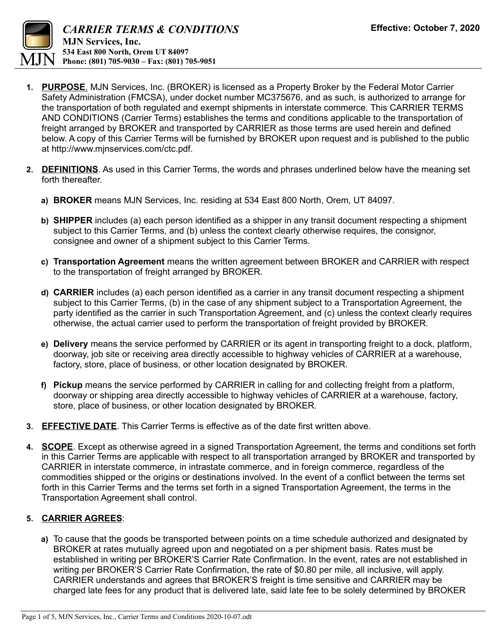

- **1. PURPOSE**. MJN Services, Inc. (BROKER) is licensed as a Property Broker by the Federal Motor Carrier Safety Administration (FMCSA), under docket number MC375676, and as such, is authorized to arrange for the transportation of both regulated and exempt shipments in interstate commerce. This CARRIER TERMS AND CONDITIONS (Carrier Terms) establishes the terms and conditions applicable to the transportation of freight arranged by BROKER and transported by CARRIER as those terms are used herein and defined below. A copy of this Carrier Terms will be furnished by BROKER upon request and is published to the public at http://www.mjnservices.com/ctc.pdf.
- **2. DEFINITIONS**. As used in this Carrier Terms, the words and phrases underlined below have the meaning set forth thereafter.
	- **a) BROKER** means MJN Services, Inc. residing at 534 East 800 North, Orem, UT 84097.
	- **b) SHIPPER** includes (a) each person identified as a shipper in any transit document respecting a shipment subject to this Carrier Terms, and (b) unless the context clearly otherwise requires, the consignor, consignee and owner of a shipment subject to this Carrier Terms.
	- **c) Transportation Agreement** means the written agreement between BROKER and CARRIER with respect to the transportation of freight arranged by BROKER.
	- **d) CARRIER** includes (a) each person identified as a carrier in any transit document respecting a shipment subject to this Carrier Terms, (b) in the case of any shipment subject to a Transportation Agreement, the party identified as the carrier in such Transportation Agreement, and (c) unless the context clearly requires otherwise, the actual carrier used to perform the transportation of freight provided by BROKER.
	- **e) Delivery** means the service performed by CARRIER or its agent in transporting freight to a dock, platform, doorway, job site or receiving area directly accessible to highway vehicles of CARRIER at a warehouse, factory, store, place of business, or other location designated by BROKER.
	- **f) Pickup** means the service performed by CARRIER in calling for and collecting freight from a platform, doorway or shipping area directly accessible to highway vehicles of CARRIER at a warehouse, factory, store, place of business, or other location designated by BROKER.
- **3. EFFECTIVE DATE**. This Carrier Terms is effective as of the date first written above.
- **4. SCOPE**. Except as otherwise agreed in a signed Transportation Agreement, the terms and conditions set forth in this Carrier Terms are applicable with respect to all transportation arranged by BROKER and transported by CARRIER in interstate commerce, in intrastate commerce, and in foreign commerce, regardless of the commodities shipped or the origins or destinations involved. In the event of a conflict between the terms set forth in this Carrier Terms and the terms set forth in a signed Transportation Agreement, the terms in the Transportation Agreement shall control.

## **5. CARRIER AGREES**:

**a)** To cause that the goods be transported between points on a time schedule authorized and designated by BROKER at rates mutually agreed upon and negotiated on a per shipment basis. Rates must be established in writing per BROKER'S Carrier Rate Confirmation. In the event, rates are not established in writing per BROKER'S Carrier Rate Confirmation, the rate of \$0.80 per mile, all inclusive, will apply. CARRIER understands and agrees that BROKER'S freight is time sensitive and CARRIER may be charged late fees for any product that is delivered late, said late fee to be solely determined by BROKER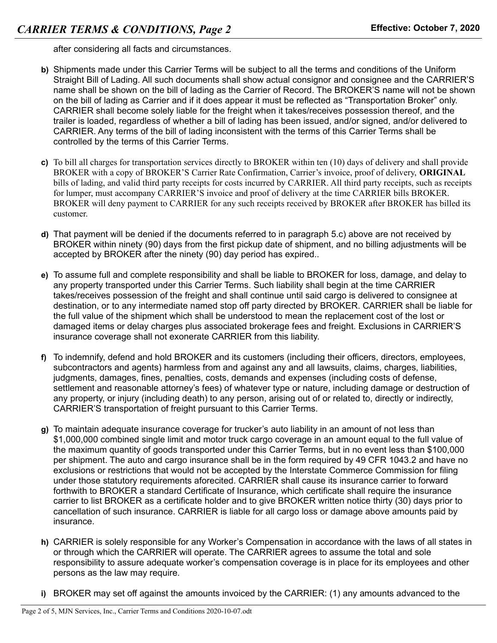after considering all facts and circumstances.

- **b)** Shipments made under this Carrier Terms will be subject to all the terms and conditions of the Uniform Straight Bill of Lading. All such documents shall show actual consignor and consignee and the CARRIER'S name shall be shown on the bill of lading as the Carrier of Record. The BROKER'S name will not be shown on the bill of lading as Carrier and if it does appear it must be reflected as "Transportation Broker" only. CARRIER shall become solely liable for the freight when it takes/receives possession thereof, and the trailer is loaded, regardless of whether a bill of lading has been issued, and/or signed, and/or delivered to CARRIER. Any terms of the bill of lading inconsistent with the terms of this Carrier Terms shall be controlled by the terms of this Carrier Terms.
- **c)** To bill all charges for transportation services directly to BROKER within ten (10) days of delivery and shall provide BROKER with a copy of BROKER'S Carrier Rate Confirmation, Carrier's invoice, proof of delivery, **ORIGINAL** bills of lading, and valid third party receipts for costs incurred by CARRIER. All third party receipts, such as receipts for lumper, must accompany CARRIER'S invoice and proof of delivery at the time CARRIER bills BROKER. BROKER will deny payment to CARRIER for any such receipts received by BROKER after BROKER has billed its customer.
- **d)** That payment will be denied if the documents referred to in paragraph 5.c) above are not received by BROKER within ninety (90) days from the first pickup date of shipment, and no billing adjustments will be accepted by BROKER after the ninety (90) day period has expired..
- **e)** To assume full and complete responsibility and shall be liable to BROKER for loss, damage, and delay to any property transported under this Carrier Terms. Such liability shall begin at the time CARRIER takes/receives possession of the freight and shall continue until said cargo is delivered to consignee at destination, or to any intermediate named stop off party directed by BROKER. CARRIER shall be liable for the full value of the shipment which shall be understood to mean the replacement cost of the lost or damaged items or delay charges plus associated brokerage fees and freight. Exclusions in CARRIER'S insurance coverage shall not exonerate CARRIER from this liability.
- **f)** To indemnify, defend and hold BROKER and its customers (including their officers, directors, employees, subcontractors and agents) harmless from and against any and all lawsuits, claims, charges, liabilities, judgments, damages, fines, penalties, costs, demands and expenses (including costs of defense, settlement and reasonable attorney's fees) of whatever type or nature, including damage or destruction of any property, or injury (including death) to any person, arising out of or related to, directly or indirectly, CARRIER'S transportation of freight pursuant to this Carrier Terms.
- **g)** To maintain adequate insurance coverage for trucker's auto liability in an amount of not less than \$1,000,000 combined single limit and motor truck cargo coverage in an amount equal to the full value of the maximum quantity of goods transported under this Carrier Terms, but in no event less than \$100,000 per shipment. The auto and cargo insurance shall be in the form required by 49 CFR 1043.2 and have no exclusions or restrictions that would not be accepted by the Interstate Commerce Commission for filing under those statutory requirements aforecited. CARRIER shall cause its insurance carrier to forward forthwith to BROKER a standard Certificate of Insurance, which certificate shall require the insurance carrier to list BROKER as a certificate holder and to give BROKER written notice thirty (30) days prior to cancellation of such insurance. CARRIER is liable for all cargo loss or damage above amounts paid by insurance.
- **h)** CARRIER is solely responsible for any Worker's Compensation in accordance with the laws of all states in or through which the CARRIER will operate. The CARRIER agrees to assume the total and sole responsibility to assure adequate worker's compensation coverage is in place for its employees and other persons as the law may require.
- **i)** BROKER may set off against the amounts invoiced by the CARRIER: (1) any amounts advanced to the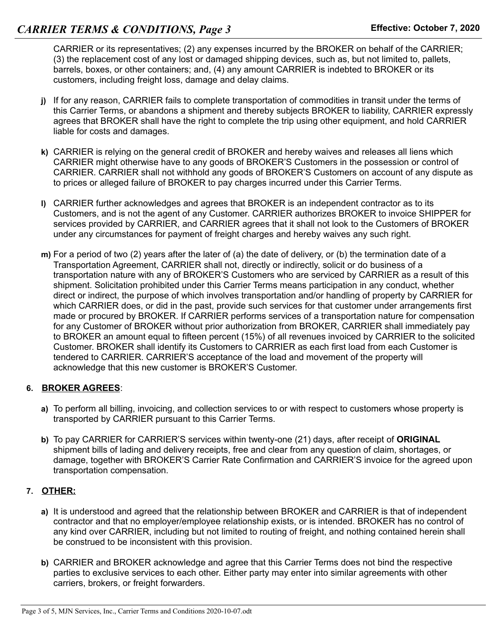CARRIER or its representatives; (2) any expenses incurred by the BROKER on behalf of the CARRIER; (3) the replacement cost of any lost or damaged shipping devices, such as, but not limited to, pallets, barrels, boxes, or other containers; and, (4) any amount CARRIER is indebted to BROKER or its customers, including freight loss, damage and delay claims.

- **j)** If for any reason, CARRIER fails to complete transportation of commodities in transit under the terms of this Carrier Terms, or abandons a shipment and thereby subjects BROKER to liability, CARRIER expressly agrees that BROKER shall have the right to complete the trip using other equipment, and hold CARRIER liable for costs and damages.
- **k)** CARRIER is relying on the general credit of BROKER and hereby waives and releases all liens which CARRIER might otherwise have to any goods of BROKER'S Customers in the possession or control of CARRIER. CARRIER shall not withhold any goods of BROKER'S Customers on account of any dispute as to prices or alleged failure of BROKER to pay charges incurred under this Carrier Terms.
- **l)** CARRIER further acknowledges and agrees that BROKER is an independent contractor as to its Customers, and is not the agent of any Customer. CARRIER authorizes BROKER to invoice SHIPPER for services provided by CARRIER, and CARRIER agrees that it shall not look to the Customers of BROKER under any circumstances for payment of freight charges and hereby waives any such right.
- **m)** For a period of two (2) years after the later of (a) the date of delivery, or (b) the termination date of a Transportation Agreement, CARRIER shall not, directly or indirectly, solicit or do business of a transportation nature with any of BROKER'S Customers who are serviced by CARRIER as a result of this shipment. Solicitation prohibited under this Carrier Terms means participation in any conduct, whether direct or indirect, the purpose of which involves transportation and/or handling of property by CARRIER for which CARRIER does, or did in the past, provide such services for that customer under arrangements first made or procured by BROKER. If CARRIER performs services of a transportation nature for compensation for any Customer of BROKER without prior authorization from BROKER, CARRIER shall immediately pay to BROKER an amount equal to fifteen percent (15%) of all revenues invoiced by CARRIER to the solicited Customer. BROKER shall identify its Customers to CARRIER as each first load from each Customer is tendered to CARRIER. CARRIER'S acceptance of the load and movement of the property will acknowledge that this new customer is BROKER'S Customer.

## **6. BROKER AGREES**:

- **a)** To perform all billing, invoicing, and collection services to or with respect to customers whose property is transported by CARRIER pursuant to this Carrier Terms.
- **b)** To pay CARRIER for CARRIER'S services within twenty-one (21) days, after receipt of **ORIGINAL** shipment bills of lading and delivery receipts, free and clear from any question of claim, shortages, or damage, together with BROKER'S Carrier Rate Confirmation and CARRIER'S invoice for the agreed upon transportation compensation.

## **7. OTHER:**

- **a)** It is understood and agreed that the relationship between BROKER and CARRIER is that of independent contractor and that no employer/employee relationship exists, or is intended. BROKER has no control of any kind over CARRIER, including but not limited to routing of freight, and nothing contained herein shall be construed to be inconsistent with this provision.
- **b)** CARRIER and BROKER acknowledge and agree that this Carrier Terms does not bind the respective parties to exclusive services to each other. Either party may enter into similar agreements with other carriers, brokers, or freight forwarders.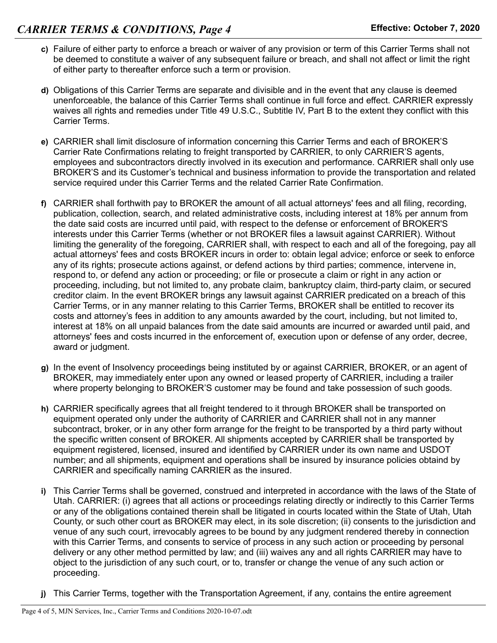- **c)** Failure of either party to enforce a breach or waiver of any provision or term of this Carrier Terms shall not be deemed to constitute a waiver of any subsequent failure or breach, and shall not affect or limit the right of either party to thereafter enforce such a term or provision.
- **d)** Obligations of this Carrier Terms are separate and divisible and in the event that any clause is deemed unenforceable, the balance of this Carrier Terms shall continue in full force and effect. CARRIER expressly waives all rights and remedies under Title 49 U.S.C., Subtitle IV, Part B to the extent they conflict with this Carrier Terms.
- **e)** CARRIER shall limit disclosure of information concerning this Carrier Terms and each of BROKER'S Carrier Rate Confirmations relating to freight transported by CARRIER, to only CARRIER'S agents, employees and subcontractors directly involved in its execution and performance. CARRIER shall only use BROKER'S and its Customer's technical and business information to provide the transportation and related service required under this Carrier Terms and the related Carrier Rate Confirmation.
- **f)** CARRIER shall forthwith pay to BROKER the amount of all actual attorneys' fees and all filing, recording, publication, collection, search, and related administrative costs, including interest at 18% per annum from the date said costs are incurred until paid, with respect to the defense or enforcement of BROKER'S interests under this Carrier Terms (whether or not BROKER files a lawsuit against CARRIER). Without limiting the generality of the foregoing, CARRIER shall, with respect to each and all of the foregoing, pay all actual attorneys' fees and costs BROKER incurs in order to: obtain legal advice; enforce or seek to enforce any of its rights; prosecute actions against, or defend actions by third parties; commence, intervene in, respond to, or defend any action or proceeding; or file or prosecute a claim or right in any action or proceeding, including, but not limited to, any probate claim, bankruptcy claim, third-party claim, or secured creditor claim. In the event BROKER brings any lawsuit against CARRIER predicated on a breach of this Carrier Terms, or in any manner relating to this Carrier Terms, BROKER shall be entitled to recover its costs and attorney's fees in addition to any amounts awarded by the court, including, but not limited to, interest at 18% on all unpaid balances from the date said amounts are incurred or awarded until paid, and attorneys' fees and costs incurred in the enforcement of, execution upon or defense of any order, decree, award or judgment.
- **g)** In the event of Insolvency proceedings being instituted by or against CARRIER, BROKER, or an agent of BROKER, may immediately enter upon any owned or leased property of CARRIER, including a trailer where property belonging to BROKER'S customer may be found and take possession of such goods.
- **h)** CARRIER specifically agrees that all freight tendered to it through BROKER shall be transported on equipment operated only under the authority of CARRIER and CARRIER shall not in any manner subcontract, broker, or in any other form arrange for the freight to be transported by a third party without the specific written consent of BROKER. All shipments accepted by CARRIER shall be transported by equipment registered, licensed, insured and identified by CARRIER under its own name and USDOT number; and all shipments, equipment and operations shall be insured by insurance policies obtaind by CARRIER and specifically naming CARRIER as the insured.
- **i)** This Carrier Terms shall be governed, construed and interpreted in accordance with the laws of the State of Utah. CARRIER: (i) agrees that all actions or proceedings relating directly or indirectly to this Carrier Terms or any of the obligations contained therein shall be litigated in courts located within the State of Utah, Utah County, or such other court as BROKER may elect, in its sole discretion; (ii) consents to the jurisdiction and venue of any such court, irrevocably agrees to be bound by any judgment rendered thereby in connection with this Carrier Terms, and consents to service of process in any such action or proceeding by personal delivery or any other method permitted by law; and (iii) waives any and all rights CARRIER may have to object to the jurisdiction of any such court, or to, transfer or change the venue of any such action or proceeding.
- **j)** This Carrier Terms, together with the Transportation Agreement, if any, contains the entire agreement